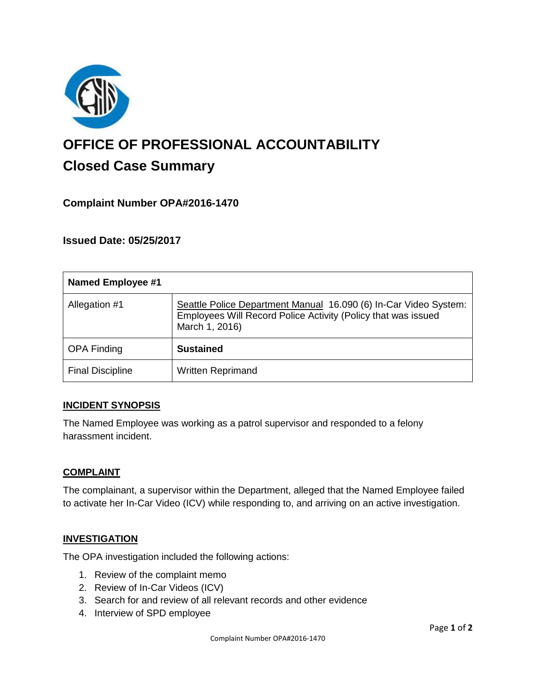

# **OFFICE OF PROFESSIONAL ACCOUNTABILITY Closed Case Summary**

## **Complaint Number OPA#2016-1470**

**Issued Date: 05/25/2017**

| <b>Named Employee #1</b> |                                                                                                                                                     |
|--------------------------|-----------------------------------------------------------------------------------------------------------------------------------------------------|
| Allegation #1            | Seattle Police Department Manual 16.090 (6) In-Car Video System:<br>Employees Will Record Police Activity (Policy that was issued<br>March 1, 2016) |
| <b>OPA Finding</b>       | <b>Sustained</b>                                                                                                                                    |
| <b>Final Discipline</b>  | <b>Written Reprimand</b>                                                                                                                            |

### **INCIDENT SYNOPSIS**

The Named Employee was working as a patrol supervisor and responded to a felony harassment incident.

### **COMPLAINT**

The complainant, a supervisor within the Department, alleged that the Named Employee failed to activate her In-Car Video (ICV) while responding to, and arriving on an active investigation.

## **INVESTIGATION**

The OPA investigation included the following actions:

- 1. Review of the complaint memo
- 2. Review of In-Car Videos (ICV)
- 3. Search for and review of all relevant records and other evidence
- 4. Interview of SPD employee